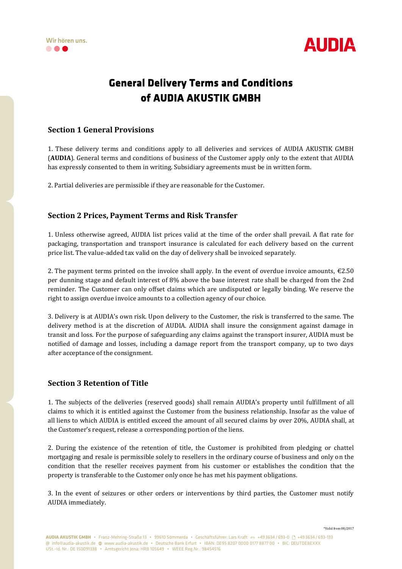



# **General Delivery Terms and Conditions of AUDIA AKUSTIK GMBH**

## **Section 1 General Provisions**

1. These delivery terms and conditions apply to all deliveries and services of AUDIA AKUSTIK GMBH (**AUDIA**). General terms and conditions of business of the Customer apply only to the extent that AUDIA has expressly consented to them in writing. Subsidiary agreements must be in written form.

2. Partial deliveries are permissible if they are reasonable for the Customer.

## **Section 2 Prices, Payment Terms and Risk Transfer**

1. Unless otherwise agreed, AUDIA list prices valid at the time of the order shall prevail. A flat rate for packaging, transportation and transport insurance is calculated for each delivery based on the current price list. The value-added tax valid on the day of delivery shall be invoiced separately.

2. The payment terms printed on the invoice shall apply. In the event of overdue invoice amounts,  $\epsilon$ 2.50 per dunning stage and default interest of 8% above the base interest rate shall be charged from the 2nd reminder. The Customer can only offset claims which are undisputed or legally binding. We reserve the right to assign overdue invoice amounts to a collection agency of our choice.

3. Delivery is at AUDIA's own risk. Upon delivery to the Customer, the risk is transferred to the same. The delivery method is at the discretion of AUDIA. AUDIA shall insure the consignment against damage in transit and loss. For the purpose of safeguarding any claims against the transport insurer, AUDIA must be notified of damage and losses, including a damage report from the transport company, up to two days after acceptance of the consignment.

#### **Section 3 Retention of Title**

1. The subjects of the deliveries (reserved goods) shall remain AUDIA's property until fulfillment of all claims to which it is entitled against the Customer from the business relationship. Insofar as the value of all liens to which AUDIA is entitled exceed the amount of all secured claims by over 20%, AUDIA shall, at the Customer's request, release a corresponding portion of the liens.

2. During the existence of the retention of title, the Customer is prohibited from pledging or chattel mortgaging and resale is permissible solely to resellers in the ordinary course of business and only on the condition that the reseller receives payment from his customer or establishes the condition that the property is transferable to the Customer only once he has met his payment obligations.

3. In the event of seizures or other orders or interventions by third parties, the Customer must notify AUDIA immediately.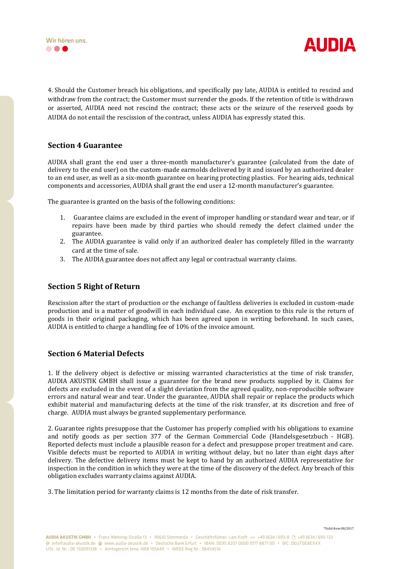



4. Should the Customer breach his obligations, and specifically pay late, AUDIA is entitled to rescind and withdraw from the contract; the Customer must surrender the goods. If the retention of title is withdrawn or asserted, AUDIA need not rescind the contract; these acts or the seizure of the reserved goods by AUDIA do not entail the rescission of the contract, unless AUDIA has expressly stated this.

#### **Section 4 Guarantee**

AUDIA shall grant the end user a three-month manufacturer's guarantee (calculated from the date of delivery to the end user) on the custom-made earmolds delivered by it and issued by an authorized dealer to an end user, as well as a six-month guarantee on hearing protecting plastics. For hearing aids, technical components and accessories, AUDIA shall grant the end user a 12-month manufacturer's guarantee.

The guarantee is granted on the basis of the following conditions:

- 1. Guarantee claims are excluded in the event of improper handling or standard wear and tear, or if repairs have been made by third parties who should remedy the defect claimed under the guarantee.
- 2. The AUDIA guarantee is valid only if an authorized dealer has completely filled in the warranty card at the time of sale.
- 3. The AUDIA guarantee does not affect any legal or contractual warranty claims.

#### **Section 5 Right of Return**

Rescission after the start of production or the exchange of faultless deliveries is excluded in custom-made production and is a matter of goodwill in each individual case. An exception to this rule is the return of goods in their original packaging, which has been agreed upon in writing beforehand. In such cases, AUDIA is entitled to charge a handling fee of 10% of the invoice amount.

#### **Section 6 Material Defects**

1. If the delivery object is defective or missing warranted characteristics at the time of risk transfer, AUDIA AKUSTIK GMBH shall issue a guarantee for the brand new products supplied by it. Claims for defects are excluded in the event of a slight deviation from the agreed quality, non-reproducible software errors and natural wear and tear. Under the guarantee, AUDIA shall repair or replace the products which exhibit material and manufacturing defects at the time of the risk transfer, at its discretion and free of charge. AUDIA must always be granted supplementary performance.

2. Guarantee rights presuppose that the Customer has properly complied with his obligations to examine and notify goods as per section 377 of the German Commercial Code (Handelsgesetzbuch - HGB). Reported defects must include a plausible reason for a defect and presuppose proper treatment and care. Visible defects must be reported to AUDIA in writing without delay, but no later than eight days after delivery. The defective delivery items must be kept to hand by an authorized AUDIA representative for inspection in the condition in which they were at the time of the discovery of the defect. Any breach of this obligation excludes warranty claims against AUDIA.

3. The limitation period for warranty claims is 12 months from the date of risk transfer.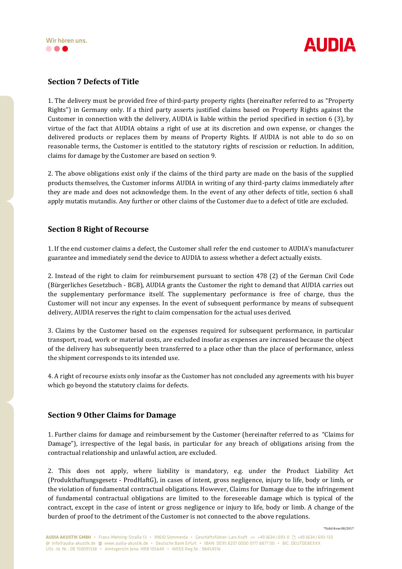



## **Section 7 Defects of Title**

1. The delivery must be provided free of third-party property rights (hereinafter referred to as "Property Rights") in Germany only. If a third party asserts justified claims based on Property Rights against the Customer in connection with the delivery, AUDIA is liable within the period specified in section 6 (3), by virtue of the fact that AUDIA obtains a right of use at its discretion and own expense, or changes the delivered products or replaces them by means of Property Rights. If AUDIA is not able to do so on reasonable terms, the Customer is entitled to the statutory rights of rescission or reduction. In addition, claims for damage by the Customer are based on section 9.

2. The above obligations exist only if the claims of the third party are made on the basis of the supplied products themselves, the Customer informs AUDIA in writing of any third-party claims immediately after they are made and does not acknowledge them. In the event of any other defects of title, section 6 shall apply mutatis mutandis. Any further or other claims of the Customer due to a defect of title are excluded.

#### **Section 8 Right of Recourse**

1. If the end customer claims a defect, the Customer shall refer the end customer to AUDIA's manufacturer guarantee and immediately send the device to AUDIA to assess whether a defect actually exists.

2. Instead of the right to claim for reimbursement pursuant to section 478 (2) of the German Civil Code (Bürgerliches Gesetzbuch - BGB), AUDIA grants the Customer the right to demand that AUDIA carries out the supplementary performance itself. The supplementary performance is free of charge, thus the Customer will not incur any expenses. In the event of subsequent performance by means of subsequent delivery, AUDIA reserves the right to claim compensation for the actual uses derived.

3. Claims by the Customer based on the expenses required for subsequent performance, in particular transport, road, work or material costs, are excluded insofar as expenses are increased because the object of the delivery has subsequently been transferred to a place other than the place of performance, unless the shipment corresponds to its intended use.

4. A right of recourse exists only insofar as the Customer has not concluded any agreements with his buyer which go beyond the statutory claims for defects.

#### **Section 9 Other Claims for Damage**

1. Further claims for damage and reimbursement by the Customer (hereinafter referred to as "Claims for Damage"), irrespective of the legal basis, in particular for any breach of obligations arising from the contractual relationship and unlawful action, are excluded.

2. This does not apply, where liability is mandatory, e.g. under the Product Liability Act (Produkthaftungsgesetz - ProdHaftG), in cases of intent, gross negligence, injury to life, body or limb, or the violation of fundamental contractual obligations. However, Claims for Damage due to the infringement of fundamental contractual obligations are limited to the foreseeable damage which is typical of the contract, except in the case of intent or gross negligence or injury to life, body or limb. A change of the burden of proof to the detriment of the Customer is not connected to the above regulations.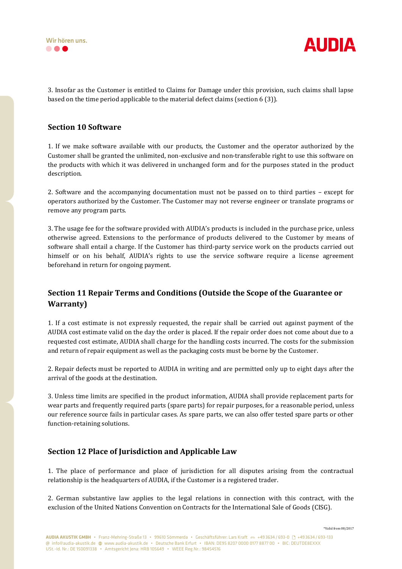



3. Insofar as the Customer is entitled to Claims for Damage under this provision, such claims shall lapse based on the time period applicable to the material defect claims (section 6 (3)).

#### **Section 10 Software**

1. If we make software available with our products, the Customer and the operator authorized by the Customer shall be granted the unlimited, non-exclusive and non-transferable right to use this software on the products with which it was delivered in unchanged form and for the purposes stated in the product description.

2. Software and the accompanying documentation must not be passed on to third parties – except for operators authorized by the Customer. The Customer may not reverse engineer or translate programs or remove any program parts.

3. The usage fee for the software provided with AUDIA's products is included in the purchase price, unless otherwise agreed. Extensions to the performance of products delivered to the Customer by means of software shall entail a charge. If the Customer has third-party service work on the products carried out himself or on his behalf, AUDIA's rights to use the service software require a license agreement beforehand in return for ongoing payment.

## **Section 11 Repair Terms and Conditions (Outside the Scope of the Guarantee or Warranty)**

1. If a cost estimate is not expressly requested, the repair shall be carried out against payment of the AUDIA cost estimate valid on the day the order is placed. If the repair order does not come about due to a requested cost estimate, AUDIA shall charge for the handling costs incurred. The costs for the submission and return of repair equipment as well as the packaging costs must be borne by the Customer.

2. Repair defects must be reported to AUDIA in writing and are permitted only up to eight days after the arrival of the goods at the destination.

3. Unless time limits are specified in the product information, AUDIA shall provide replacement parts for wear parts and frequently required parts (spare parts) for repair purposes, for a reasonable period, unless our reference source fails in particular cases. As spare parts, we can also offer tested spare parts or other function-retaining solutions.

#### **Section 12 Place of Jurisdiction and Applicable Law**

1. The place of performance and place of jurisdiction for all disputes arising from the contractual relationship is the headquarters of AUDIA, if the Customer is a registered trader.

2. German substantive law applies to the legal relations in connection with this contract, with the exclusion of the United Nations Convention on Contracts for the International Sale of Goods (CISG).